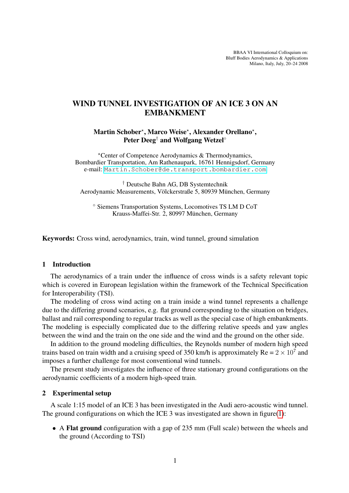BBAA VI International Colloquium on: Bluff Bodies Aerodynamics & Applications Milano, Italy, July, 20–24 2008

# WIND TUNNEL INVESTIGATION OF AN ICE 3 ON AN EMBANKMENT

Martin Schober\*, Marco Weise\*, Alexander Orellano\*, Peter Deeg<sup>†</sup> and Wolfgang Wetzel<sup>◦</sup>

?Center of Competence Aerodynamics & Thermodynamics, Bombardier Transportation, Am Rathenaupark, 16761 Hennigsdorf, Germany e-mail: <Martin.Schober@de.transport.bombardier.com>

† Deutsche Bahn AG, DB Systemtechnik Aerodynamic Measurements, Völckerstraße 5, 80939 München, Germany

◦ Siemens Transportation Systems, Locomotives TS LM D CoT Krauss-Maffei-Str. 2, 80997 München, Germany

Keywords: Cross wind, aerodynamics, train, wind tunnel, ground simulation

#### 1 Introduction

The aerodynamics of a train under the influence of cross winds is a safety relevant topic which is covered in European legislation within the framework of the Technical Specification for Interoperability (TSI).

The modeling of cross wind acting on a train inside a wind tunnel represents a challenge due to the differing ground scenarios, e.g. flat ground corresponding to the situation on bridges, ballast and rail corresponding to regular tracks as well as the special case of high embankments. The modeling is especially complicated due to the differing relative speeds and yaw angles between the wind and the train on the one side and the wind and the ground on the other side.

In addition to the ground modeling difficulties, the Reynolds number of modern high speed trains based on train width and a cruising speed of 350 km/h is approximately  $Re = 2 \times 10^7$  and imposes a further challenge for most conventional wind tunnels.

The present study investigates the influence of three stationary ground configurations on the aerodynamic coefficients of a modern high-speed train.

### 2 Experimental setup

A scale 1:15 model of an ICE 3 has been investigated in the Audi aero-acoustic wind tunnel. The ground configurations on which the ICE 3 was investigated are shown in figure[\(1\)](#page-1-0):

• A Flat ground configuration with a gap of 235 mm (Full scale) between the wheels and the ground (According to TSI)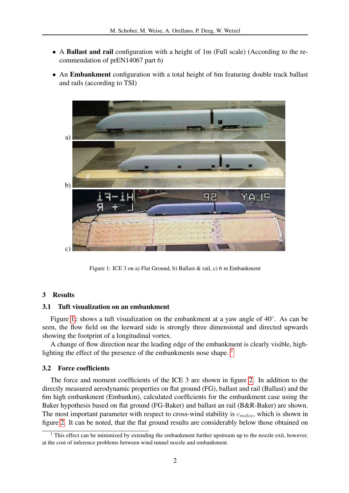- A Ballast and rail configuration with a height of 1m (Full scale) (According to the recommendation of prEN14067 part 6)
- An Embankment configuration with a total height of 6m featuring double track ballast and rails (according to TSI)



<span id="page-1-0"></span>Figure 1: ICE 3 on a) Flat Ground, b) Ballast & rail, c) 6 m Embankment

#### 3 Results

## 3.1 Tuft visualization on an embankment

Figure [1c](#page-1-0) shows a tuft visualization on the embankment at a yaw angle of  $40^\circ$ . As can be seen, the flow field on the leeward side is strongly three dimensional and directed upwards showing the footprint of a longitudinal vortex.

A change of flow direction near the leading edge of the embankment is clearly visible, high-lighting the effect of the presence of the embankments nose shape.<sup>[1](#page-1-1)</sup>

#### 3.2 Force coefficients

The force and moment coefficients of the ICE 3 are shown in figure [2.](#page-2-0) In addition to the directly measured aerodynamic properties on flat ground (FG), ballast and rail (Ballast) and the 6m high embankment (Embankm), calculated coefficients for the embankment case using the Baker hypothesis based on flat ground (FG-Baker) and ballast an rail (B&R-Baker) are shown. The most important parameter with respect to cross-wind stability is  $c_{\text{m}xlee}$ , which is shown in figure [2.](#page-2-0) It can be noted, that the flat ground results are considerably below those obtained on

<span id="page-1-1"></span> $1$  This effect can be minimized by extending the embankment further upstream up to the nozzle exit, however, at the cost of inference problems between wind tunnel nozzle and embankment.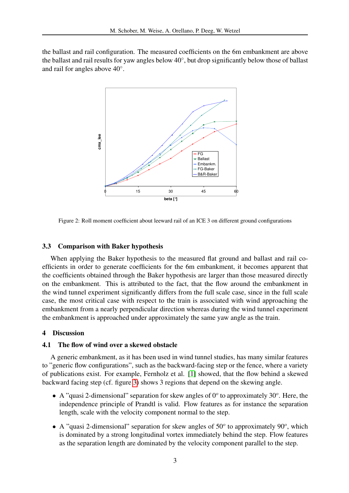the ballast and rail configuration. The measured coefficients on the 6m embankment are above the ballast and rail results for yaw angles below 40°, but drop significantly below those of ballast and rail for angles above 40°.



<span id="page-2-0"></span>Figure 2: Roll moment coefficient about leeward rail of an ICE 3 on different ground configurations

## 3.3 Comparison with Baker hypothesis

When applying the Baker hypothesis to the measured flat ground and ballast and rail coefficients in order to generate coefficients for the 6m embankment, it becomes apparent that the coefficients obtained through the Baker hypothesis are larger than those measured directly on the embankment. This is attributed to the fact, that the flow around the embankment in the wind tunnel experiment significantly differs from the full scale case, since in the full scale case, the most critical case with respect to the train is associated with wind approaching the embankment from a nearly perpendicular direction whereas during the wind tunnel experiment the embankment is approached under approximately the same yaw angle as the train.

### 4 Discussion

#### 4.1 The flow of wind over a skewed obstacle

A generic embankment, as it has been used in wind tunnel studies, has many similar features to "generic flow configurations", such as the backward-facing step or the fence, where a variety of publications exist. For example, Fernholz et al. [\[1\]](#page-3-0) showed, that the flow behind a skewed backward facing step (cf. figure [3\)](#page-3-1) shows 3 regions that depend on the skewing angle.

- A "quasi 2-dimensional" separation for skew angles of  $0^{\circ}$  to approximately 30°. Here, the independence principle of Prandtl is valid. Flow features as for instance the separation length, scale with the velocity component normal to the step.
- $\bullet$  A "quasi 2-dimensional" separation for skew angles of 50 $^{\circ}$  to approximately 90 $^{\circ}$ , which is dominated by a strong longitudinal vortex immediately behind the step. Flow features as the separation length are dominated by the velocity component parallel to the step.